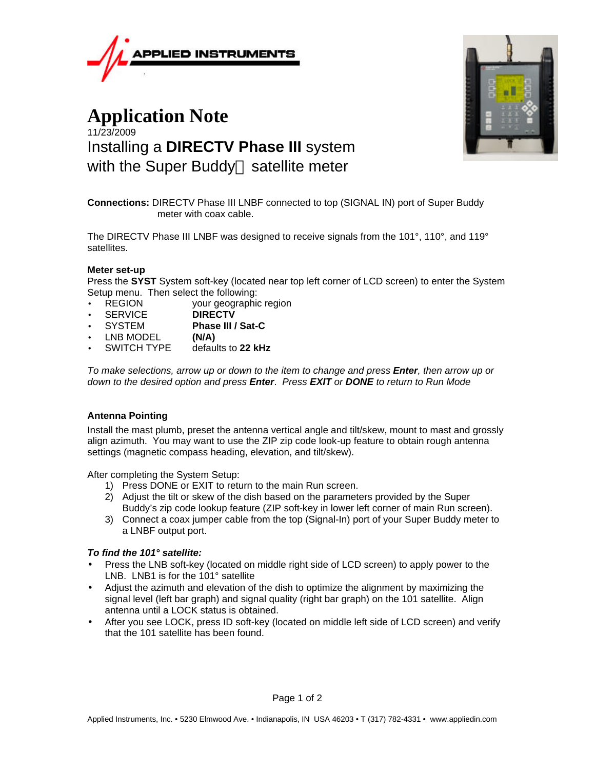

# **Application Note** 11/23/2009 Installing a **DIRECTV Phase III** system with the Super Buddy<sup> $M$ </sup> satellite meter



**Connections:** DIRECTV Phase III LNBF connected to top (SIGNAL IN) port of Super Buddy meter with coax cable.

The DIRECTV Phase III LNBF was designed to receive signals from the 101°, 110°, and 119° satellites.

# **Meter set-up**

Press the **SYST** System soft-key (located near top left corner of LCD screen) to enter the System Setup menu. Then select the following:

- REGION your geographic region
- SERVICE **DIRECTV**
- SYSTEM **Phase III / Sat-C**
- **LNB MODEL (N/A)**<br>
SWITCH TYPE defau
- defaults to 22 kHz

*To make selections, arrow up or down to the item to change and press Enter, then arrow up or down to the desired option and press Enter*. *Press EXIT or DONE to return to Run Mode*

# **Antenna Pointing**

Install the mast plumb, preset the antenna vertical angle and tilt/skew, mount to mast and grossly align azimuth. You may want to use the ZIP zip code look-up feature to obtain rough antenna settings (magnetic compass heading, elevation, and tilt/skew).

After completing the System Setup:

- 1) Press DONE or EXIT to return to the main Run screen.
- 2) Adjust the tilt or skew of the dish based on the parameters provided by the Super Buddy's zip code lookup feature (ZIP soft-key in lower left corner of main Run screen).
- 3) Connect a coax jumper cable from the top (Signal-In) port of your Super Buddy meter to a LNBF output port.

## *To find the 101° satellite:*

- Press the LNB soft-key (located on middle right side of LCD screen) to apply power to the LNB. LNB1 is for the 101° satellite
- Adjust the azimuth and elevation of the dish to optimize the alignment by maximizing the signal level (left bar graph) and signal quality (right bar graph) on the 101 satellite. Align antenna until a LOCK status is obtained.
- After you see LOCK, press ID soft-key (located on middle left side of LCD screen) and verify that the 101 satellite has been found.